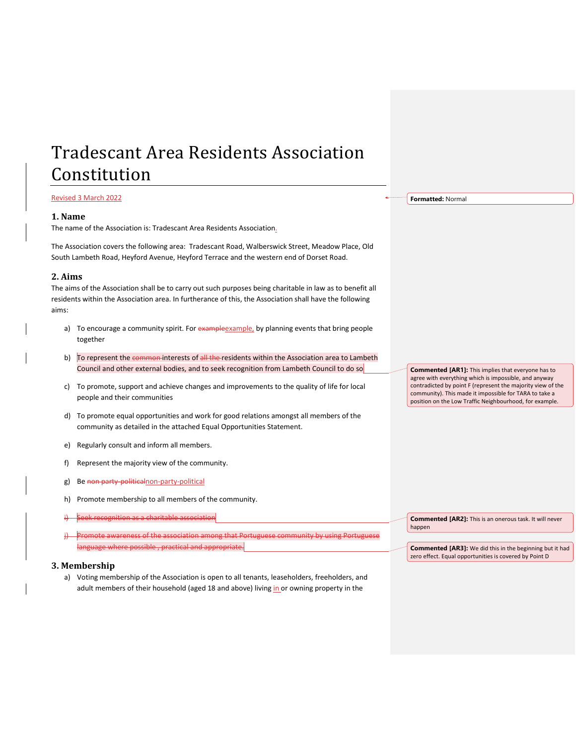# Tradescant Area Residents Association Constitution

## Revised 3 March 2022

## **1. Name**

The name of the Association is: Tradescant Area Residents Association.

The Association covers the following area: Tradescant Road, Walberswick Street, Meadow Place, Old South Lambeth Road, Heyford Avenue, Heyford Terrace and the western end of Dorset Road.

## **2. Aims**

The aims of the Association shall be to carry out such purposes being charitable in law as to benefit all residents within the Association area. In furtherance of this, the Association shall have the following aims:

- a) To encourage a community spirit. For example example, by planning events that bring people together
- b) To represent the common interests of all the residents within the Association area to Lambeth Council and other external bodies, and to seek recognition from Lambeth Council to do so
- c) To promote, support and achieve changes and improvements to the quality of life for local people and their communities
- d) To promote equal opportunities and work for good relations amongst all members of the community as detailed in the attached Equal Opportunities Statement.
- e) Regularly consult and inform all members.
- f) Represent the majority view of the community.
- g) Be non party-politicalnon-party-political
- h) Promote membership to all members of the community.
- eek recognition as a charitable association
- j) Promote awareness of the association among that Portuguese community by using Portuguese language where possible , practical and appropriate.

# **3. Membership**

a) Voting membership of the Association is open to all tenants, leaseholders, freeholders, and adult members of their household (aged 18 and above) living in or owning property in the

**Commented [AR1]:** This implies that everyone has to

**Formatted:** Normal

agree with everything which is impossible, and anyway contradicted by point F (represent the majority view of the community). This made it impossible for TARA to take a position on the Low Traffic Neighbourhood, for example.

**Commented [AR2]:** This is an onerous task. It will never happen

**Commented [AR3]:** We did this in the beginning but it had zero effect. Equal opportunities is covered by Point D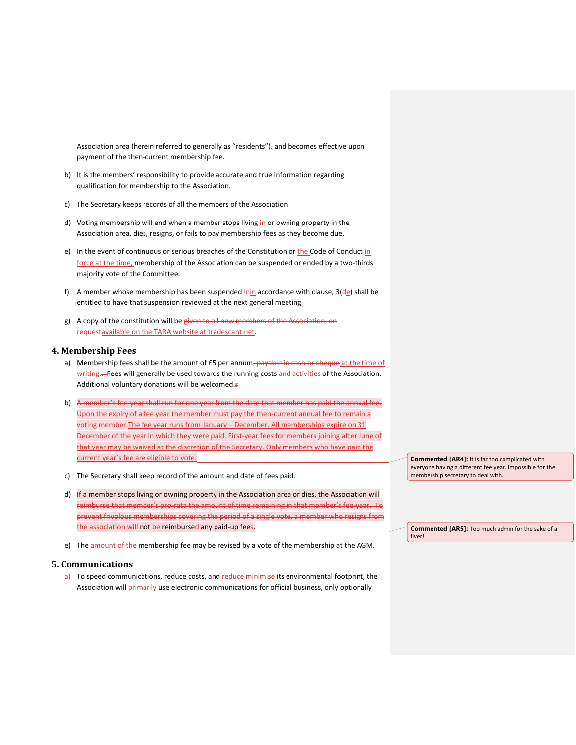Association area (herein referred to generally as "residents"), and becomes effective upon payment of the then-current membership fee.

- b) It is the members' responsibility to provide accurate and true information regarding qualification for membership to the Association.
- c) The Secretary keeps records of all the members of the Association
- d) Voting membership will end when a member stops living in or owning property in the Association area, dies, resigns, or fails to pay membership fees as they become due.
- e) In the event of continuous or serious breaches of the Constitution or the Code of Conduct in force at the time, membership of the Association can be suspended or ended by a two-thirds majority vote of the Committee.
- f) A member whose membership has been suspended  $\frac{1}{n}$  accordance with clause, 3( $\frac{d}{d}$ ) shall be entitled to have that suspension reviewed at the next general meeting
- g) A copy of the constitution will be given to all new members of the Association, on requestavailable on the TARA website at tradescant.net.

## **4. Membership Fees**

- a) Membership fees shall be the amount of  $£5$  per annum, payable in cash or cheque at the time of writing. -- Fees will generally be used towards the running costs and activities of the Association. Additional voluntary donations will be welcomed.s
- b)  $\overline{A}$  member's fee-year shall run for one year from the date that member has paid the annual fee. Upon the expiry of a fee year the member must pay the then-current annual fee to remain a voting member.The fee year runs from January – December. All memberships expire on 31 December of the year in which they were paid. First-year fees for members joining after June of that year may be waived at the discretion of the Secretary. Only members who have paid the current year's fee are eligible to vote.
- c) The Secretary shall keep record of the amount and date of fees paid.
- d) If a member stops living or owning property in the Association area or dies, the Association will reimburse that member's pro-rata the amount of time remaining in that member's fee-year. To prevent frivolous memberships covering the period of a single vote, a member who resigns from the association will not be reimbursed any paid-up fees.
- e) The amount of the membership fee may be revised by a vote of the membership at the AGM.

# **5. Communications**

 $a$ ) To speed communications, reduce costs, and reduce minimise its environmental footprint, the Association will primarily use electronic communications for official business, only optionally

**Commented [AR4]:** It is far too complicated with everyone having a different fee year. Impossible for the membership secretary to deal with.

**Commented [AR5]:** Too much admin for the sake of a fiver!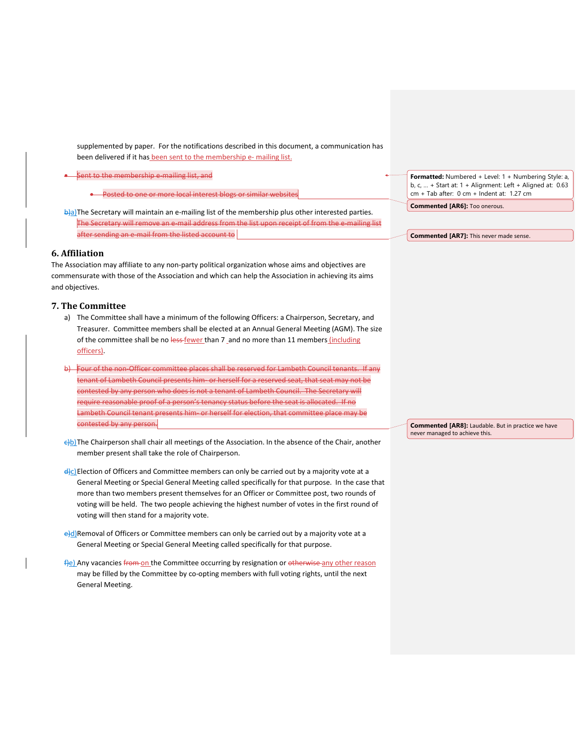supplemented by paper. For the notifications described in this document, a communication has been delivered if it has been sent to the membership e- mailing list.

Sent to the membership e-mailing list, and

- **•** Posted to one or more local interest blogs or similar websites
- b)a)The Secretary will maintain an e-mailing list of the membership plus other interested parties. The Secretary will remove an e-mail address from the list upon receipt of from the e-mailing list after sending an e-mail from the listed account to

# **6. Affiliation**

The Association may affiliate to any non-party political organization whose aims and objectives are commensurate with those of the Association and which can help the Association in achieving its aims and objectives.

# **7. The Committee**

- a) The Committee shall have a minimum of the following Officers: a Chairperson, Secretary, and Treasurer. Committee members shall be elected at an Annual General Meeting (AGM). The size of the committee shall be no less fewer than 7 and no more than 11 members *(including* officers).
- b) Four of the non-Officer committee places shall be reserved for Lambeth Council tenants. If any tenant of Lambeth Council presents him- or herself for a reserved seat, that seat may not be contested by any person who does is not a tenant of Lambeth Council. The Secretary will require reasonable proof of a person's tenancy status before the seat is allocated. If no Lambeth Council tenant presents him- or herself for election, that committee place may be contested by any person.
- c)b)The Chairperson shall chair all meetings of the Association. In the absence of the Chair, another member present shall take the role of Chairperson.
- $\frac{d}{c}$ Election of Officers and Committee members can only be carried out by a majority vote at a General Meeting or Special General Meeting called specifically for that purpose. In the case that more than two members present themselves for an Officer or Committee post, two rounds of voting will be held. The two people achieving the highest number of votes in the first round of voting will then stand for a majority vote.
- e)d)Removal of Officers or Committee members can only be carried out by a majority vote at a General Meeting or Special General Meeting called specifically for that purpose.
- f)e) Any vacancies from on the Committee occurring by resignation or otherwise any other reason may be filled by the Committee by co-opting members with full voting rights, until the next General Meeting.

**Formatted:** Numbered + Level: 1 + Numbering Style: a, b, c, … + Start at: 1 + Alignment: Left + Aligned at: 0.63 cm + Tab after: 0 cm + Indent at: 1.27 cm

**Commented [AR6]:** Too onerous.

**Commented [AR7]:** This never made sense.

**Commented [AR8]:** Laudable. But in practice we have never managed to achieve this.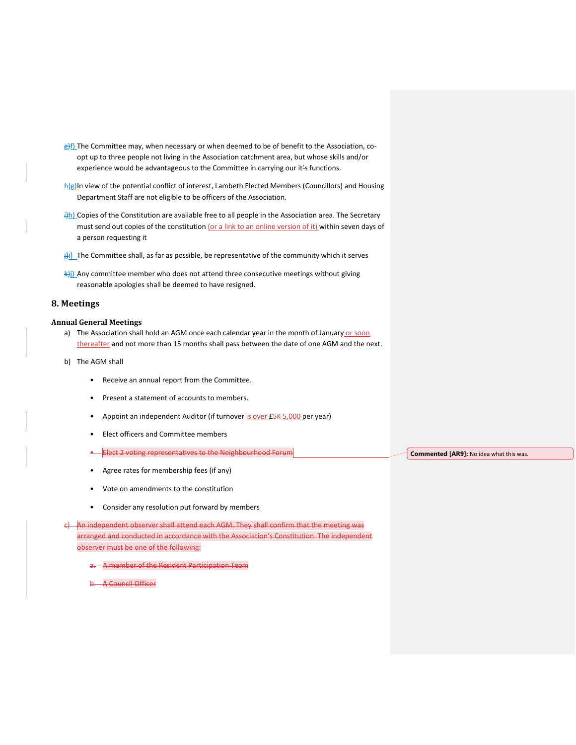- $g(f)$  The Committee may, when necessary or when deemed to be of benefit to the Association, coopt up to three people not living in the Association catchment area, but whose skills and/or experience would be advantageous to the Committee in carrying our it's functions.
- h)g)In view of the potential conflict of interest, Lambeth Elected Members (Councillors) and Housing Department Staff are not eligible to be officers of the Association.
- $\frac{1}{10}$  Copies of the Constitution are available free to all people in the Association area. The Secretary must send out copies of the constitution (or a link to an online version of it) within seven days of a person requesting it
- $\frac{1}{11}$ ) The Committee shall, as far as possible, be representative of the community which it serves
- $\frac{k}{j}$ ) Any committee member who does not attend three consecutive meetings without giving reasonable apologies shall be deemed to have resigned.

## **8. Meetings**

#### **Annual General Meetings**

- a) The Association shall hold an AGM once each calendar year in the month of January or soon thereafter and not more than 15 months shall pass between the date of one AGM and the next.
- b) The AGM shall
	- Receive an annual report from the Committee.
	- Present a statement of accounts to members.
	- Appoint an independent Auditor (if turnover is over £5K-5,000 per year)
	- Elect officers and Committee members
	- **Elect 2 voting representatives to the Neighbourhood Forum**
	- Agree rates for membership fees (if any)
	- Vote on amendments to the constitution
	- Consider any resolution put forward by members

An independent observer shall attend each AGM. They shall confirm that the meeting was arranged and conducted in accordance with the Association's Constitution. The independent observer must be one of the following:

a. A member of the Resident Participation Team

A Council Officer

**Commented [AR9]:** No idea what this was.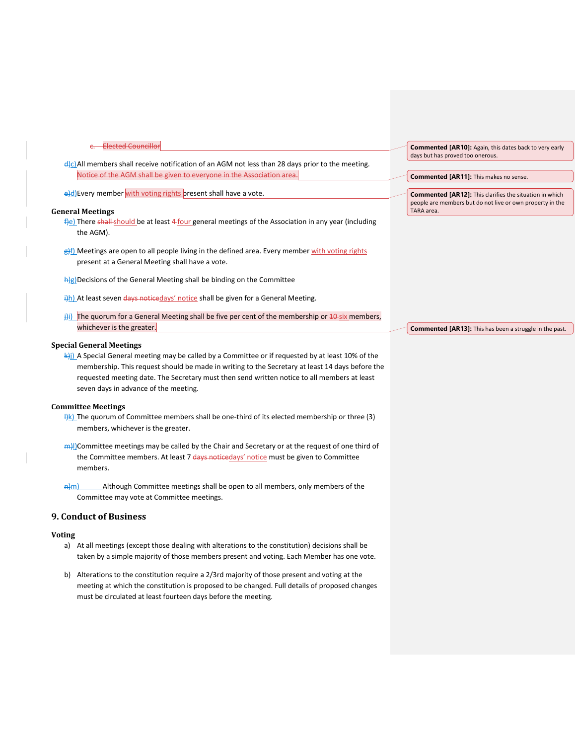| <b>Commented [AR10]: Again, this dates back to</b><br>days but has proved too onerous.                 |
|--------------------------------------------------------------------------------------------------------|
|                                                                                                        |
| <b>Commented [AR11]:</b> This makes no sense.                                                          |
| <b>Commented [AR12]:</b> This clarifies the situatio<br>people are members but do not live or own prop |
| TARA area.                                                                                             |
|                                                                                                        |
|                                                                                                        |
|                                                                                                        |
|                                                                                                        |
|                                                                                                        |
| <b>Commented [AR13]:</b> This has been a struggle                                                      |
|                                                                                                        |
|                                                                                                        |

k)j) A Special General meeting may be called by a Committee or if requested by at least 10% of the membership. This request should be made in writing to the Secretary at least 14 days before the requested meeting date. The Secretary must then send written notice to all members at least seven days in advance of the meeting.

#### **Committee Meetings**

 $\frac{1}{k}$ ) The quorum of Committee members shall be one-third of its elected membership or three (3) members, whichever is the greater.

m)l)Committee meetings may be called by the Chair and Secretary or at the request of one third of the Committee members. At least 7 days noticedays' notice must be given to Committee members.

 $\frac{m}{m}$  Although Committee meetings shall be open to all members, only members of the Committee may vote at Committee meetings.

## **9. Conduct of Business**

#### **Voting**

- a) At all meetings (except those dealing with alterations to the constitution) decisions shall be taken by a simple majority of those members present and voting. Each Member has one vote.
- b) Alterations to the constitution require a 2/3rd majority of those present and voting at the meeting at which the constitution is proposed to be changed. Full details of proposed changes must be circulated at least fourteen days before the meeting.

very early

n in which erty in the

in the past.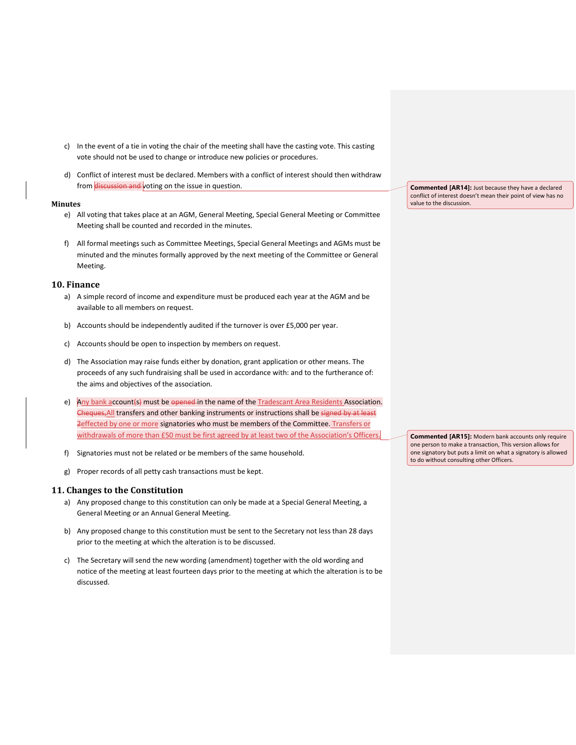- c) In the event of a tie in voting the chair of the meeting shall have the casting vote. This casting vote should not be used to change or introduce new policies or procedures.
- d) Conflict of interest must be declared. Members with a conflict of interest should then withdraw from discussion and voting on the issue in question.

#### **Minutes**

- e) All voting that takes place at an AGM, General Meeting, Special General Meeting or Committee Meeting shall be counted and recorded in the minutes.
- f) All formal meetings such as Committee Meetings, Special General Meetings and AGMs must be minuted and the minutes formally approved by the next meeting of the Committee or General Meeting.

# **10. Finance**

- a) A simple record of income and expenditure must be produced each year at the AGM and be available to all members on request.
- b) Accounts should be independently audited if the turnover is over £5,000 per year.
- c) Accounts should be open to inspection by members on request.
- d) The Association may raise funds either by donation, grant application or other means. The proceeds of any such fundraising shall be used in accordance with: and to the furtherance of: the aims and objectives of the association.
- e)  $\overline{Any}$  bank account $\{s\}$  must be opened in the name of the Tradescant Area Residents Association. Cheques, All transfers and other banking instruments or instructions shall be signed by at least 2effected by one or more signatories who must be members of the Committee. Transfers or withdrawals of more than £50 must be first agreed by at least two of the Association's Officers.
- f) Signatories must not be related or be members of the same household.
- g) Proper records of all petty cash transactions must be kept.

#### **11. Changes to the Constitution**

- a) Any proposed change to this constitution can only be made at a Special General Meeting, a General Meeting or an Annual General Meeting.
- b) Any proposed change to this constitution must be sent to the Secretary not less than 28 days prior to the meeting at which the alteration is to be discussed.
- c) The Secretary will send the new wording (amendment) together with the old wording and notice of the meeting at least fourteen days prior to the meeting at which the alteration is to be discussed.

**Commented [AR14]:** Just because they have a declared conflict of interest doesn't mean their point of view has no value to the discussion.

**Commented [AR15]:** Modern bank accounts only require one person to make a transaction, This version allows for one signatory but puts a limit on what a signatory is allowed to do without consulting other Officers.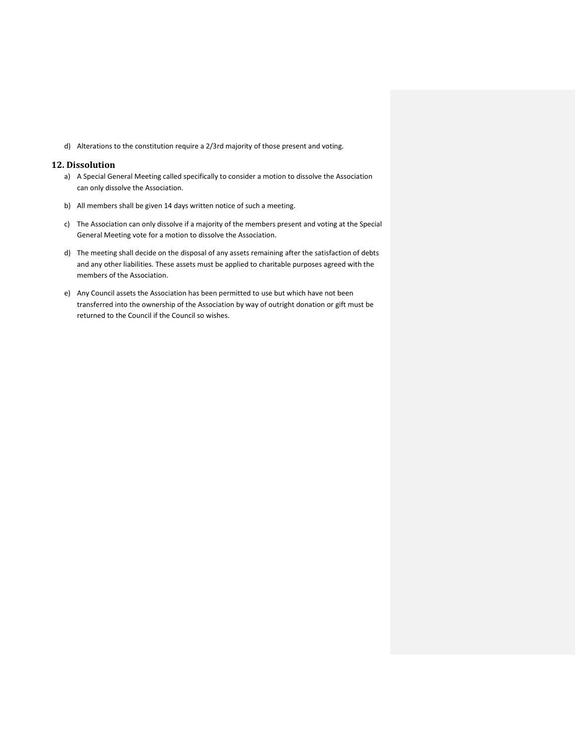d) Alterations to the constitution require a 2/3rd majority of those present and voting.

# **12. Dissolution**

- a) A Special General Meeting called specifically to consider a motion to dissolve the Association can only dissolve the Association.
- b) All members shall be given 14 days written notice of such a meeting.
- c) The Association can only dissolve if a majority of the members present and voting at the Special General Meeting vote for a motion to dissolve the Association.
- d) The meeting shall decide on the disposal of any assets remaining after the satisfaction of debts and any other liabilities. These assets must be applied to charitable purposes agreed with the members of the Association.
- e) Any Council assets the Association has been permitted to use but which have not been transferred into the ownership of the Association by way of outright donation or gift must be returned to the Council if the Council so wishes.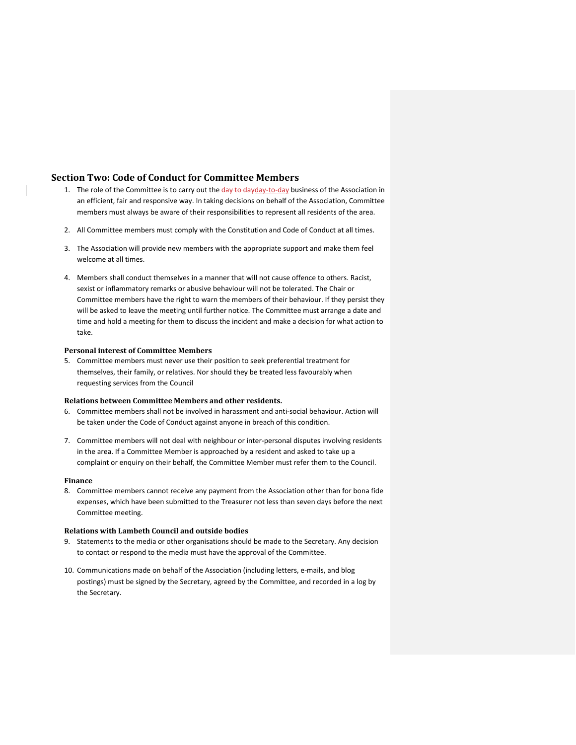# **Section Two: Code of Conduct for Committee Members**

- 1. The role of the Committee is to carry out the day to day day-to-day business of the Association in an efficient, fair and responsive way. In taking decisions on behalf of the Association, Committee members must always be aware of their responsibilities to represent all residents of the area.
- 2. All Committee members must comply with the Constitution and Code of Conduct at all times.
- 3. The Association will provide new members with the appropriate support and make them feel welcome at all times.
- 4. Members shall conduct themselves in a manner that will not cause offence to others. Racist, sexist or inflammatory remarks or abusive behaviour will not be tolerated. The Chair or Committee members have the right to warn the members of their behaviour. If they persist they will be asked to leave the meeting until further notice. The Committee must arrange a date and time and hold a meeting for them to discuss the incident and make a decision for what action to take.

## **Personal interest of Committee Members**

5. Committee members must never use their position to seek preferential treatment for themselves, their family, or relatives. Nor should they be treated less favourably when requesting services from the Council

## **Relations between Committee Members and other residents.**

- 6. Committee members shall not be involved in harassment and anti-social behaviour. Action will be taken under the Code of Conduct against anyone in breach of this condition.
- 7. Committee members will not deal with neighbour or inter-personal disputes involving residents in the area. If a Committee Member is approached by a resident and asked to take up a complaint or enquiry on their behalf, the Committee Member must refer them to the Council.

#### **Finance**

8. Committee members cannot receive any payment from the Association other than for bona fide expenses, which have been submitted to the Treasurer not less than seven days before the next Committee meeting.

#### **Relations with Lambeth Council and outside bodies**

- 9. Statements to the media or other organisations should be made to the Secretary. Any decision to contact or respond to the media must have the approval of the Committee.
- 10. Communications made on behalf of the Association (including letters, e-mails, and blog postings) must be signed by the Secretary, agreed by the Committee, and recorded in a log by the Secretary.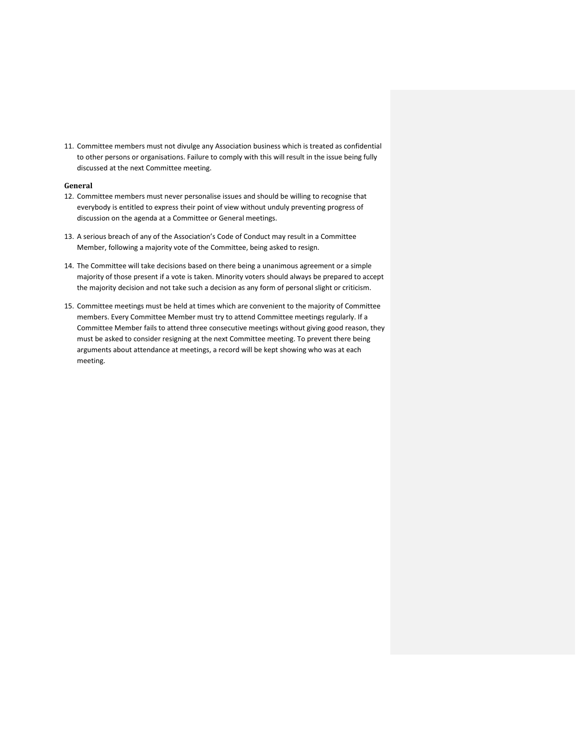11. Committee members must not divulge any Association business which is treated as confidential to other persons or organisations. Failure to comply with this will result in the issue being fully discussed at the next Committee meeting.

## **General**

- 12. Committee members must never personalise issues and should be willing to recognise that everybody is entitled to express their point of view without unduly preventing progress of discussion on the agenda at a Committee or General meetings.
- 13. A serious breach of any of the Association's Code of Conduct may result in a Committee Member, following a majority vote of the Committee, being asked to resign.
- 14. The Committee will take decisions based on there being a unanimous agreement or a simple majority of those present if a vote is taken. Minority voters should always be prepared to accept the majority decision and not take such a decision as any form of personal slight or criticism.
- 15. Committee meetings must be held at times which are convenient to the majority of Committee members. Every Committee Member must try to attend Committee meetings regularly. If a Committee Member fails to attend three consecutive meetings without giving good reason, they must be asked to consider resigning at the next Committee meeting. To prevent there being arguments about attendance at meetings, a record will be kept showing who was at each meeting.